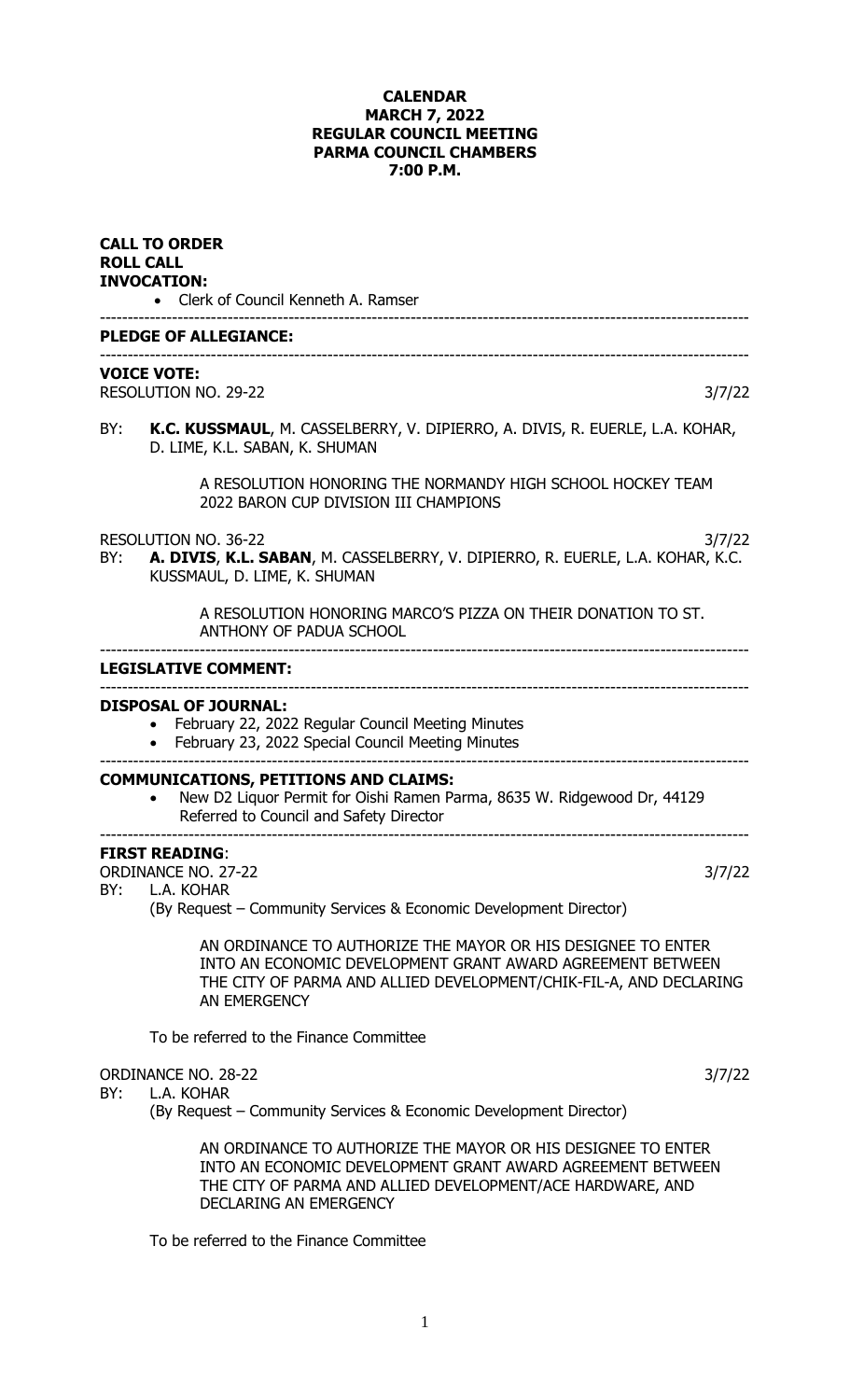## **CALENDAR MARCH 7, 2022 REGULAR COUNCIL MEETING PARMA COUNCIL CHAMBERS 7:00 P.M.**

|     | <b>CALL TO ORDER</b><br><b>ROLL CALL</b><br><b>INVOCATION:</b><br>• Clerk of Council Kenneth A. Ramser                                                                                                             |
|-----|--------------------------------------------------------------------------------------------------------------------------------------------------------------------------------------------------------------------|
|     | <b>PLEDGE OF ALLEGIANCE:</b>                                                                                                                                                                                       |
|     | <b>VOICE VOTE:</b><br>RESOLUTION NO. 29-22<br>3/7/22                                                                                                                                                               |
| BY: | K.C. KUSSMAUL, M. CASSELBERRY, V. DIPIERRO, A. DIVIS, R. EUERLE, L.A. KOHAR,<br>D. LIME, K.L. SABAN, K. SHUMAN                                                                                                     |
|     | A RESOLUTION HONORING THE NORMANDY HIGH SCHOOL HOCKEY TEAM<br>2022 BARON CUP DIVISION III CHAMPIONS                                                                                                                |
| BY: | <b>RESOLUTION NO. 36-22</b><br>3/7/22<br>A. DIVIS, K.L. SABAN, M. CASSELBERRY, V. DIPIERRO, R. EUERLE, L.A. KOHAR, K.C.<br>KUSSMAUL, D. LIME, K. SHUMAN                                                            |
|     | A RESOLUTION HONORING MARCO'S PIZZA ON THEIR DONATION TO ST.<br>ANTHONY OF PADUA SCHOOL                                                                                                                            |
|     | <b>LEGISLATIVE COMMENT:</b>                                                                                                                                                                                        |
|     | <b>DISPOSAL OF JOURNAL:</b><br>February 22, 2022 Regular Council Meeting Minutes<br>February 23, 2022 Special Council Meeting Minutes                                                                              |
|     | <b>COMMUNICATIONS, PETITIONS AND CLAIMS:</b><br>New D2 Liquor Permit for Oishi Ramen Parma, 8635 W. Ridgewood Dr, 44129<br>Referred to Council and Safety Director                                                 |
| BY: | <b>FIRST READING:</b><br><b>ORDINANCE NO. 27-22</b><br>3/7/22<br>L.A. KOHAR<br>(By Request – Community Services & Economic Development Director)                                                                   |
|     | AN ORDINANCE TO AUTHORIZE THE MAYOR OR HIS DESIGNEE TO ENTER<br>INTO AN ECONOMIC DEVELOPMENT GRANT AWARD AGREEMENT BETWEEN<br>THE CITY OF PARMA AND ALLIED DEVELOPMENT/CHIK-FIL-A, AND DECLARING<br>AN EMERGENCY   |
|     | To be referred to the Finance Committee                                                                                                                                                                            |
| BY: | <b>ORDINANCE NO. 28-22</b><br>3/7/22<br>L.A. KOHAR<br>(By Request – Community Services & Economic Development Director)                                                                                            |
|     | AN ORDINANCE TO AUTHORIZE THE MAYOR OR HIS DESIGNEE TO ENTER<br>INTO AN ECONOMIC DEVELOPMENT GRANT AWARD AGREEMENT BETWEEN<br>THE CITY OF PARMA AND ALLIED DEVELOPMENT/ACE HARDWARE, AND<br>DECLARING AN EMERGENCY |
|     | To be referred to the Finance Committee                                                                                                                                                                            |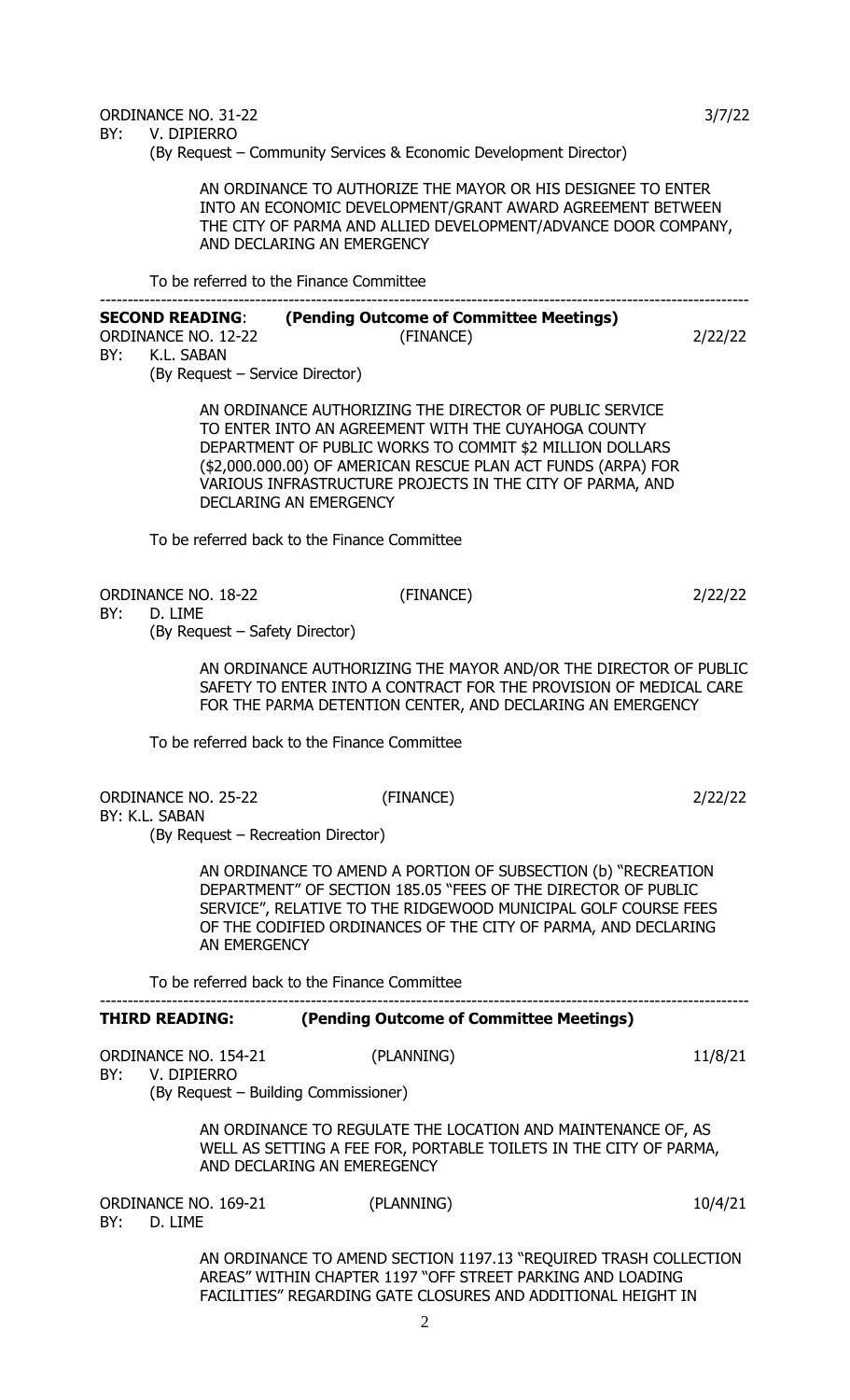BY: V. DIPIERRO

(By Request – Community Services & Economic Development Director)

AN ORDINANCE TO AUTHORIZE THE MAYOR OR HIS DESIGNEE TO ENTER INTO AN ECONOMIC DEVELOPMENT/GRANT AWARD AGREEMENT BETWEEN THE CITY OF PARMA AND ALLIED DEVELOPMENT/ADVANCE DOOR COMPANY, AND DECLARING AN EMERGENCY

To be referred to the Finance Committee

## --------------------------------------------------------------------------------------------------------------------- **SECOND READING**: **(Pending Outcome of Committee Meetings)** ORDINANCE NO. 12-22 (FINANCE) 2/22/22 BY: K.L. SABAN

(By Request – Service Director)

AN ORDINANCE AUTHORIZING THE DIRECTOR OF PUBLIC SERVICE TO ENTER INTO AN AGREEMENT WITH THE CUYAHOGA COUNTY DEPARTMENT OF PUBLIC WORKS TO COMMIT \$2 MILLION DOLLARS (\$2,000.000.00) OF AMERICAN RESCUE PLAN ACT FUNDS (ARPA) FOR VARIOUS INFRASTRUCTURE PROJECTS IN THE CITY OF PARMA, AND DECLARING AN EMERGENCY

To be referred back to the Finance Committee

ORDINANCE NO. 18-22 (FINANCE) 2/22/22

BY: D. LIME

(By Request – Safety Director)

AN ORDINANCE AUTHORIZING THE MAYOR AND/OR THE DIRECTOR OF PUBLIC SAFETY TO ENTER INTO A CONTRACT FOR THE PROVISION OF MEDICAL CARE FOR THE PARMA DETENTION CENTER, AND DECLARING AN EMERGENCY

To be referred back to the Finance Committee

ORDINANCE NO. 25-22 (FINANCE) 2/22/22 BY: K.L. SABAN

(By Request – Recreation Director)

AN ORDINANCE TO AMEND A PORTION OF SUBSECTION (b) "RECREATION DEPARTMENT" OF SECTION 185.05 "FEES OF THE DIRECTOR OF PUBLIC SERVICE", RELATIVE TO THE RIDGEWOOD MUNICIPAL GOLF COURSE FEES OF THE CODIFIED ORDINANCES OF THE CITY OF PARMA, AND DECLARING AN EMERGENCY

To be referred back to the Finance Committee

## --------------------------------------------------------------------------------------------------------------------- **THIRD READING: (Pending Outcome of Committee Meetings)**

ORDINANCE NO. 154-21 (PLANNING) 11/8/21 BY: V. DIPIERRO (By Request – Building Commissioner)

> AN ORDINANCE TO REGULATE THE LOCATION AND MAINTENANCE OF, AS WELL AS SETTING A FEE FOR, PORTABLE TOILETS IN THE CITY OF PARMA, AND DECLARING AN EMEREGENCY

ORDINANCE NO. 169-21 (PLANNING) 10/4/21 BY: D. LIME

AN ORDINANCE TO AMEND SECTION 1197.13 "REQUIRED TRASH COLLECTION AREAS" WITHIN CHAPTER 1197 "OFF STREET PARKING AND LOADING FACILITIES" REGARDING GATE CLOSURES AND ADDITIONAL HEIGHT IN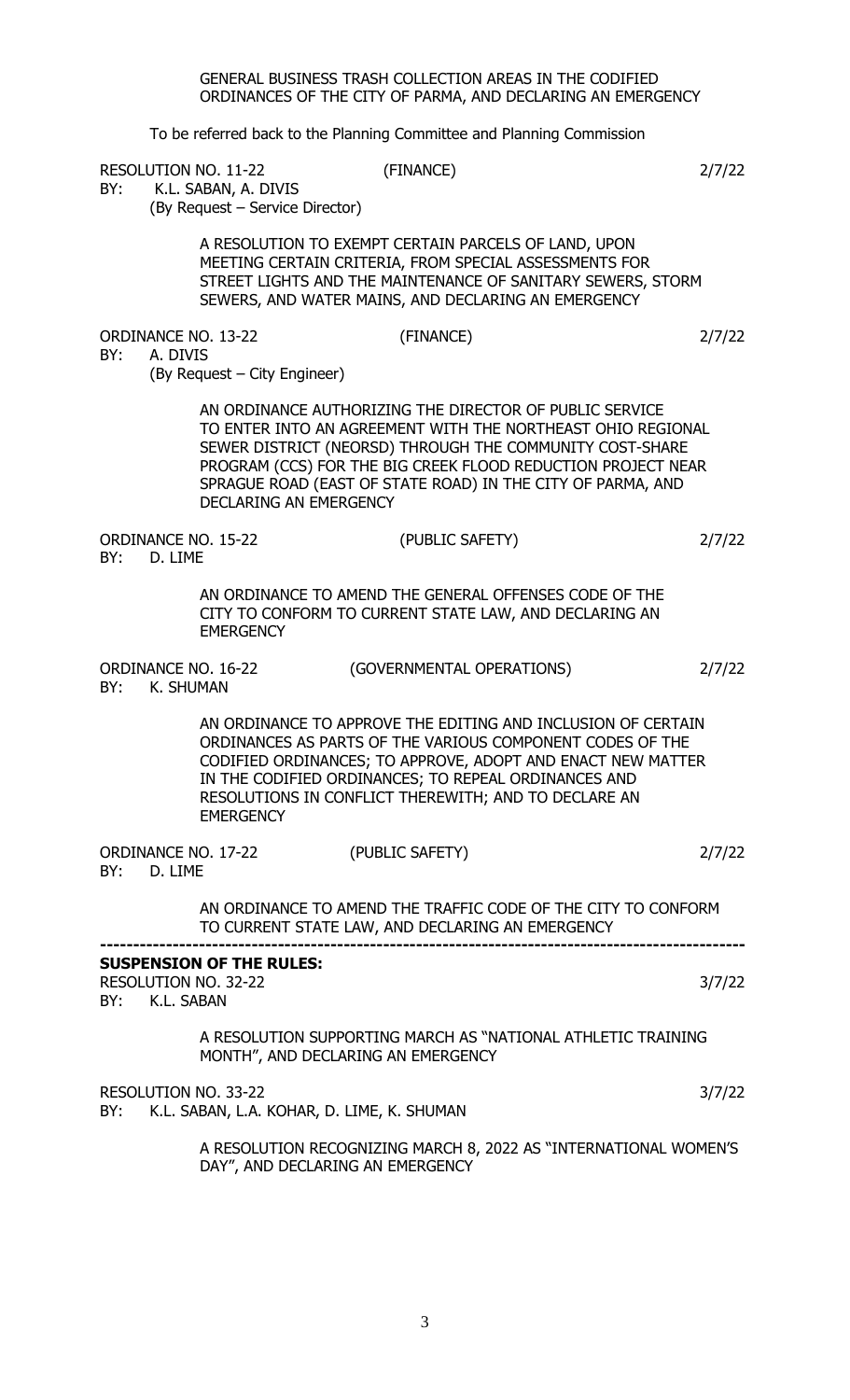GENERAL BUSINESS TRASH COLLECTION AREAS IN THE CODIFIED ORDINANCES OF THE CITY OF PARMA, AND DECLARING AN EMERGENCY

To be referred back to the Planning Committee and Planning Commission

RESOLUTION NO. 11-22 (FINANCE) 2/7/22

BY: K.L. SABAN, A. DIVIS (By Request – Service Director)

> A RESOLUTION TO EXEMPT CERTAIN PARCELS OF LAND, UPON MEETING CERTAIN CRITERIA, FROM SPECIAL ASSESSMENTS FOR STREET LIGHTS AND THE MAINTENANCE OF SANITARY SEWERS, STORM SEWERS, AND WATER MAINS, AND DECLARING AN EMERGENCY

ORDINANCE NO. 13-22 (FINANCE) 2/7/22

BY: A. DIVIS

(By Request – City Engineer)

AN ORDINANCE AUTHORIZING THE DIRECTOR OF PUBLIC SERVICE TO ENTER INTO AN AGREEMENT WITH THE NORTHEAST OHIO REGIONAL SEWER DISTRICT (NEORSD) THROUGH THE COMMUNITY COST-SHARE PROGRAM (CCS) FOR THE BIG CREEK FLOOD REDUCTION PROJECT NEAR SPRAGUE ROAD (EAST OF STATE ROAD) IN THE CITY OF PARMA, AND DECLARING AN EMERGENCY

ORDINANCE NO. 15-22 (PUBLIC SAFETY) 2/7/22 BY: D. LIME

> AN ORDINANCE TO AMEND THE GENERAL OFFENSES CODE OF THE CITY TO CONFORM TO CURRENT STATE LAW, AND DECLARING AN **EMERGENCY**

ORDINANCE NO. 16-22 (GOVERNMENTAL OPERATIONS) 2/7/22 BY: K. SHUMAN

> AN ORDINANCE TO APPROVE THE EDITING AND INCLUSION OF CERTAIN ORDINANCES AS PARTS OF THE VARIOUS COMPONENT CODES OF THE CODIFIED ORDINANCES; TO APPROVE, ADOPT AND ENACT NEW MATTER IN THE CODIFIED ORDINANCES; TO REPEAL ORDINANCES AND RESOLUTIONS IN CONFLICT THEREWITH; AND TO DECLARE AN **EMERGENCY**

| ORDINANCE NO. 17-22 |         | (PUBLIC SAFETY) | 2/7/22 |
|---------------------|---------|-----------------|--------|
| BY:                 | D. LIME |                 |        |

AN ORDINANCE TO AMEND THE TRAFFIC CODE OF THE CITY TO CONFORM TO CURRENT STATE LAW, AND DECLARING AN EMERGENCY **--------------------------------------------------------------------------------------------------**

|  | <b>SUSPENSION OF THE RULES:</b> |
|--|---------------------------------|

|  | RESOLUTION NO. 32-22                                          | 3/7/22 |
|--|---------------------------------------------------------------|--------|
|  | BY: K.L. SABAN                                                |        |
|  | A RESOLUTION SUPPORTING MARCH AS "NATIONAL ATHLETIC TRAINING" |        |
|  | MONTH", AND DECLARING AN EMERGENCY                            |        |

RESOLUTION NO. 33-22 3/7/22 BY: K.L. SABAN, L.A. KOHAR, D. LIME, K. SHUMAN

> A RESOLUTION RECOGNIZING MARCH 8, 2022 AS "INTERNATIONAL WOMEN'S DAY", AND DECLARING AN EMERGENCY